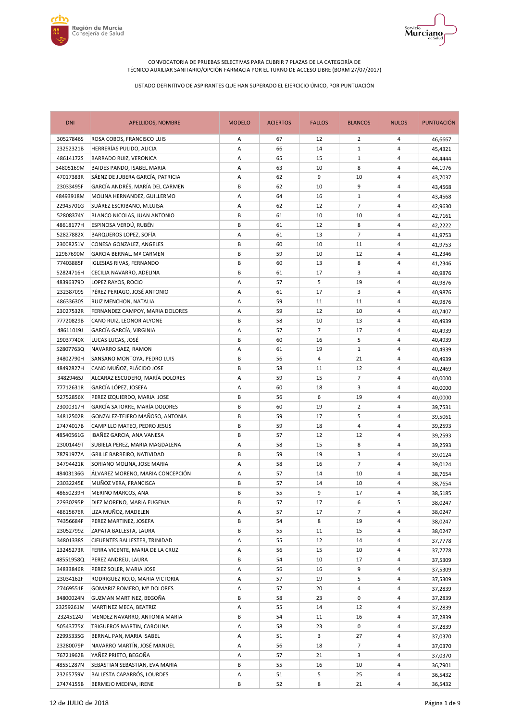



| <b>DNI</b> | APELLIDOS, NOMBRE                 | <b>MODELO</b> | <b>ACIERTOS</b> | <b>FALLOS</b> | <b>BLANCOS</b> | <b>NULOS</b>   | <b>PUNTUACIÓN</b> |
|------------|-----------------------------------|---------------|-----------------|---------------|----------------|----------------|-------------------|
| 30527846S  | ROSA COBOS, FRANCISCO LUIS        | Α             | 67              | 12            | 2              | 4              | 46,6667           |
| 23252321B  | HERRERÍAS PULIDO, ALICIA          | Α             | 66              | 14            | $\mathbf{1}$   | 4              | 45,4321           |
| 48614172S  | BARRADO RUIZ, VERONICA            | Α             | 65              | 15            | $\mathbf{1}$   | 4              | 44,4444           |
| 34805169M  | BAIDES PANDO, ISABEL MARIA        | A             | 63              | 10            | 8              | $\overline{4}$ | 44,1976           |
| 47017383R  | SÁENZ DE JUBERA GARCÍA, PATRICIA  | Α             | 62              | 9             | 10             | 4              | 43,7037           |
| 23033495F  | GARCÍA ANDRÉS, MARÍA DEL CARMEN   | B             | 62              | 10            | 9              | 4              | 43,4568           |
| 48493918M  | MOLINA HERNANDEZ, GUILLERMO       | Α             | 64              | 16            | $\mathbf{1}$   | 4              | 43,4568           |
| 22945701G  | SUÁREZ ESCRIBANO, M.LUISA         | Α             | 62              | 12            | $\overline{7}$ | 4              | 42,9630           |
| 52808374Y  | BLANCO NICOLAS, JUAN ANTONIO      | В             | 61              | 10            | 10             | 4              | 42,7161           |
| 48618177H  | ESPINOSA VERDÚ, RUBÉN             | В             | 61              | 12            | 8              | 4              | 42,2222           |
| 52827882X  | BARQUEROS LOPEZ, SOFÍA            | Α             | 61              | 13            | $\overline{7}$ | 4              | 41,9753           |
| 23008251V  | CONESA GONZALEZ, ANGELES          | В             | 60              | 10            | 11             | 4              | 41,9753           |
| 22967690M  | <b>GARCIA BERNAL, Mº CARMEN</b>   | В             | 59              | 10            | 12             | 4              | 41,2346           |
| 77403885F  | <b>IGLESIAS RIVAS, FERNANDO</b>   | В             | 60              | 13            | 8              | 4              | 41,2346           |
| 52824716H  | CECILIA NAVARRO, ADELINA          | B             | 61              | 17            | 3              | 4              | 40,9876           |
| 48396379D  | LOPEZ RAYOS, ROCIO                | Α             | 57              | 5             | 19             | 4              | 40,9876           |
| 23238709S  | PÉREZ PERIAGO, JOSÉ ANTONIO       | Α             | 61              | 17            | 3              | 4              | 40,9876           |
| 48633630S  | RUIZ MENCHON, NATALIA             | Α             | 59              | 11            | 11             | 4              | 40,9876           |
| 23027532R  | FERNANDEZ CAMPOY, MARIA DOLORES   | Α             | 59              | 12            | 10             | $\overline{4}$ | 40,7407           |
| 77720829B  | CANO RUIZ, LEONOR ALYONE          | В             | 58              | 10            | 13             | 4              | 40,4939           |
| 48611019J  | GARCÍA GARCÍA, VIRGINIA           | Α             | 57              | 7             | 17             | 4              | 40,4939           |
| 29037740X  | LUCAS LUCAS, JOSÉ                 | B             | 60              | 16            | 5              | 4              | 40,4939           |
| 52807763Q  | NAVARRO SAEZ, RAMON               | Α             | 61              | 19            | $\mathbf{1}$   | 4              | 40,4939           |
| 34802790H  | SANSANO MONTOYA, PEDRO LUIS       | В             | 56              | 4             | 21             | 4              | 40,4939           |
| 48492827H  | CANO MUÑOZ, PLÁCIDO JOSE          | B             | 58              | 11            | 12             | $\overline{4}$ | 40,2469           |
| 34829465J  | ALCARAZ ESCUDERO, MARÍA DOLORES   | Α             | 59              | 15            | $\overline{7}$ | 4              | 40,0000           |
| 77712631R  | GARCÍA LÓPEZ, JOSEFA              | Α             | 60              | 18            | 3              | 4              | 40,0000           |
| 52752856X  | PEREZ IZQUIERDO, MARIA JOSE       | В             | 56              | 6             | 19             | 4              | 40,0000           |
| 23000317H  | GARCÍA SATORRE, MARÍA DOLORES     | В             | 60              | 19            | 2              | 4              | 39,7531           |
| 34812502R  | GONZALEZ-TEJERO MAÑOSO, ANTONIA   | В             | 59              | 17            | 5              | 4              | 39,5061           |
| 27474017B  | CAMPILLO MATEO, PEDRO JESUS       | B             | 59              | 18            | 4              | 4              | 39,2593           |
| 48540561G  | IBAÑEZ GARCIA, ANA VANESA         | B             | 57              | 12            | 12             | $\overline{4}$ | 39,2593           |
| 23001449T  | SUBIELA PEREZ, MARIA MAGDALENA    | Α             | 58              | 15            | 8              | $\overline{4}$ | 39,2593           |
| 78791977A  | <b>GRILLE BARREIRO, NATIVIDAD</b> | В             | 59              | 19            | 3              | 4              | 39,0124           |
| 34794421K  | SORIANO MOLINA, JOSE MARIA        | Α             | 58              | 16            | $\overline{7}$ | 4              | 39,0124           |
| 48403136G  | ÁLVAREZ MORENO, MARIA CONCEPCIÓN  | Α             | 57              | 14            | 10             | 4              | 38,7654           |
| 23032245E  | MUÑOZ VERA, FRANCISCA             | В             | 57              | 14            | 10             | 4              | 38,7654           |
| 48650239H  | MERINO MARCOS, ANA                | B             | 55              | 9             | 17             | $\overline{4}$ | 38,5185           |
| 22930295P  | DIEZ MORENO, MARIA EUGENIA        | В             | 57              | 17            | 6              | 5              | 38,0247           |
| 48615676R  | LIZA MUÑOZ, MADELEN               | Α             | 57              | 17            | $\overline{7}$ | 4              | 38,0247           |
| 74356684F  | PEREZ MARTINEZ, JOSEFA            | В             | 54              | 8             | 19             | 4              | 38,0247           |
| 23052799Z  | ZAPATA BALLESTA, LAURA            | В             | 55              | 11            | 15             | 4              | 38,0247           |
| 34801338S  | CIFUENTES BALLESTER, TRINIDAD     | А             | 55              | 12            | 14             | 4              | 37,7778           |
| 23245273R  | FERRA VICENTE, MARIA DE LA CRUZ   | А             | 56              | 15            | 10             | 4              | 37,7778           |
| 48551958Q  | PEREZ ANDREU, LAURA               | В             | 54              | 10            | 17             | 4              | 37,5309           |
| 34833846R  | PEREZ SOLER, MARIA JOSE           | Α             | 56              | 16            | 9              | 4              | 37,5309           |
| 23034162F  | RODRIGUEZ ROJO, MARIA VICTORIA    | Α             | 57              | 19            | 5              | 4              | 37,5309           |
| 27469551F  | <b>GOMARIZ ROMERO, Mª DOLORES</b> | Α             | 57              | 20            | 4              | 4              | 37,2839           |
| 34800024N  | GUZMAN MARTINEZ, BEGOÑA           | В             | 58              | 23            | 0              | 4              | 37,2839           |
| 23259261M  | MARTINEZ MECA, BEATRIZ            | А             | 55              | 14            | 12             | 4              | 37,2839           |
| 23245124J  | MENDEZ NAVARRO, ANTONIA MARIA     | В             | 54              | 11            | 16             | 4              | 37,2839           |
| 50543775X  | TRIGUEROS MARTIN, CAROLINA        | А             | 58              | 23            | 0              | 4              | 37,2839           |
| 22995335G  | BERNAL PAN, MARIA ISABEL          | Α             | 51              | 3             | 27             | 4              | 37,0370           |
| 23280079P  | NAVARRO MARTÍN, JOSÉ MANUEL       | Α             | 56              | 18            | $\overline{7}$ | 4              | 37,0370           |
| 76721962B  | YAÑEZ PRIETO, BEGOÑA              | Α             | 57              | 21            | 3              | 4              | 37,0370           |
| 48551287N  | SEBASTIAN SEBASTIAN, EVA MARIA    | В             | 55              | 16            | 10             | 4              | 36,7901           |
| 23265759V  | BALLESTA CAPARRÓS, LOURDES        | Α             | 51              | 5             | 25             | 4              | 36,5432           |
| 27474155B  | BERMEJO MEDINA, IRENE             | В             | 52              | 8             | 21             | 4              | 36,5432           |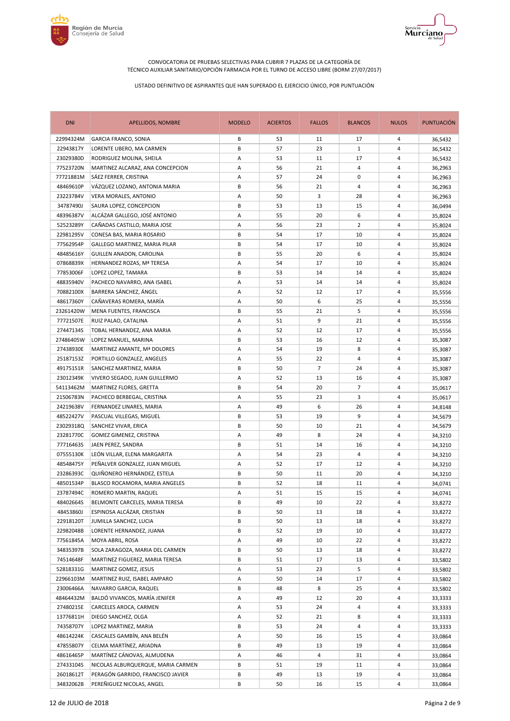



| <b>DNI</b> | APELLIDOS, NOMBRE                  | <b>MODELO</b> | <b>ACIERTOS</b> | <b>FALLOS</b>  | <b>BLANCOS</b> | <b>NULOS</b>   | <b>PUNTUACIÓN</b> |
|------------|------------------------------------|---------------|-----------------|----------------|----------------|----------------|-------------------|
| 22994324M  | <b>GARCIA FRANCO, SONIA</b>        | В             | 53              | 11             | 17             | 4              | 36,5432           |
| 22943817Y  | LORENTE UBERO, MA CARMEN           | В             | 57              | 23             | $\mathbf{1}$   | 4              | 36,5432           |
| 23029380D  | RODRIGUEZ MOLINA, SHEILA           | Α             | 53              | 11             | 17             | 4              | 36,5432           |
| 77523720N  | MARTINEZ ALCARAZ, ANA CONCEPCION   | Α             | 56              | 21             | 4              | 4              | 36,2963           |
| 77721881M  | SÁEZ FERRER, CRISTINA              | Α             | 57              | 24             | 0              | 4              | 36,2963           |
| 48469610P  | VÁZQUEZ LOZANO, ANTONIA MARIA      | В             | 56              | 21             | 4              | 4              | 36,2963           |
| 23223784V  | <b>VERA MORALES, ANTONIO</b>       | Α             | 50              | 3              | 28             | 4              | 36,2963           |
| 34787490J  | SAURA LOPEZ, CONCEPCION            | В             | 53              | 13             | 15             | 4              | 36,0494           |
| 48396387V  | ALCÁZAR GALLEGO, JOSÉ ANTONIO      | Α             | 55              | 20             | 6              | 4              | 35,8024           |
| 52523289Y  | CAÑADAS CASTILLO, MARIA JOSE       | Α             | 56              | 23             | $\overline{2}$ | 4              | 35,8024           |
| 22981295V  | CONESA BAS, MARIA ROSARIO          | B             | 54              | 17             | 10             | 4              | 35,8024           |
| 77562954P  | GALLEGO MARTINEZ, MARIA PILAR      | В             | 54              | 17             | 10             | 4              | 35,8024           |
| 48485616Y  | GUILLEN ANADON, CAROLINA           | В             | 55              | 20             | 6              | 4              | 35,8024           |
| 07868839X  | HERNANDEZ ROZAS, Mª TERESA         | Α             | 54              | 17             | 10             | 4              | 35,8024           |
| 77853006F  | LOPEZ LOPEZ, TAMARA                | В             | 53              | 14             | 14             | 4              | 35,8024           |
| 48835940V  | PACHECO NAVARRO, ANA ISABEL        | Α             | 53              | 14             | 14             | 4              | 35,8024           |
| 70882100X  | BARRERA SÁNCHEZ, ÁNGEL             | Α             | 52              | 12             | 17             | $\overline{4}$ | 35,5556           |
| 48617360Y  | CAÑAVERAS ROMERA, MARÍA            | А             | 50              | 6              | 25             | $\overline{4}$ | 35,5556           |
| 23261420W  | MENA FUENTES, FRANCISCA            | В             | 55              | 21             | 5              | 4              | 35,5556           |
| 77721507E  | RUIZ PALAO, CATALINA               | Α             | 51              | 9              | 21             | 4              | 35,5556           |
| 27447134S  | TOBAL HERNANDEZ, ANA MARIA         | Α             | 52              | 12             | 17             | 4              | 35,5556           |
| 27486405W  | LOPEZ MANUEL, MARINA               | В             | 53              | 16             | 12             | 4              | 35,3087           |
| 27438930E  | MARTINEZ AMANTE, Mª DOLORES        | Α             | 54              | 19             | 8              | 4              | 35,3087           |
| 25187153Z  | PORTILLO GONZALEZ, ANGELES         | Α             | 55              | 22             | 4              | 4              | 35,3087           |
| 49175151R  | SANCHEZ MARTINEZ, MARIA            | B             | 50              | $\overline{7}$ | 24             | $\overline{4}$ | 35,3087           |
| 23012349K  | VIVERO SEGADO, JUAN GUILLERMO      | Α             | 52              | 13             | 16             | 4              | 35,3087           |
| 54113462M  | MARTINEZ FLORES, GRETTA            | В             | 54              | 20             | 7              | 4              | 35,0617           |
| 21506783N  | PACHECO BERBEGAL, CRISTINA         | Α             | 55              | 23             | 3              | 4              | 35,0617           |
| 24219638V  | FERNANDEZ LINARES, MARIA           | Α             | 49              | 6              | 26             | 4              | 34,8148           |
| 48522427V  | PASCUAL VILLEGAS, MIGUEL           | В             | 53              | 19             | 9              | 4              | 34,5679           |
| 23029318Q  | SANCHEZ VIVAR, ERICA               | В             | 50              | 10             | 21             | 4              | 34,5679           |
| 23281770C  | GOMEZ GIMENEZ, CRISTINA            | Α             | 49              | 8              | 24             | 4              | 34,3210           |
| 77716463S  | JAEN PEREZ, SANDRA                 | В             | 51              | 14             | 16             | 4              | 34,3210           |
| 07555130K  | LEÓN VILLAR, ELENA MARGARITA       | Α             | 54              | 23             | 4              | 4              | 34,3210           |
| 48548475Y  | PEÑALVER GONZALEZ, JUAN MIGUEL     | Α             | 52              | 17             | 12             | 4              | 34,3210           |
| 23286393C  | QUIÑONERO HERNÁNDEZ, ESTELA        | В             | 50              | 11             | 20             | 4              | 34,3210           |
| 48501534P  | BLASCO ROCAMORA, MARIA ANGELES     | В             | 52              | 18             | 11             | 4              | 34,0741           |
| 23787494C  | ROMERO MARTIN, RAQUEL              | Α             | 51              | 15             | 15             | 4              | 34,0741           |
| 48402664S  | BELMONTE CARCELES, MARIA TERESA    | В             | 49              | 10             | 22             | 4              | 33,8272           |
| 48453860J  | ESPINOSA ALCÁZAR, CRISTIAN         | В             | 50              | 13             | 18             | 4              | 33,8272           |
| 22918120T  | JUMILLA SANCHEZ, LUCIA             | В             | 50              | 13             | 18             | 4              | 33,8272           |
| 22982048B  | LORENTE HERNANDEZ, JUANA           | В             | 52              | 19             | 10             | 4              | 33,8272           |
| 77561845A  | MOYA ABRIL, ROSA                   | Α             | 49              | 10             | 22             | 4              | 33,8272           |
| 34835397B  | SOLA ZARAGOZA, MARIA DEL CARMEN    | В             | 50              | 13             | 18             | 4              | 33,8272           |
| 74514648F  | MARTINEZ FIGUEREZ, MARIA TERESA    | В             | 51              | 17             | 13             | 4              | 33,5802           |
| 52818331G  | MARTINEZ GOMEZ, JESUS              | Α             | 53              | 23             | 5              | 4              | 33,5802           |
| 22966103M  | MARTINEZ RUIZ, ISABEL AMPARO       | Α             | 50              | 14             | 17             | 4              | 33,5802           |
| 23006466A  | NAVARRO GARCIA, RAQUEL             | В             | 48              | 8              | 25             | 4              | 33,5802           |
| 48464432M  | BALDÓ VIVANCOS, MARÍA JENIFER      | А             | 49              | 12             | 20             | 4              | 33,3333           |
| 27480215E  | CARCELES AROCA, CARMEN             | Α             | 53              | 24             | 4              | 4              | 33,3333           |
| 13776811H  | DIEGO SANCHEZ, OLGA                | Α             | 52              | 21             | 8              | 4              | 33,3333           |
| 74358707Y  | LOPEZ MARTINEZ, MARIA              | В             | 53              | 24             | 4              | 4              | 33,3333           |
| 48614224K  | CASCALES GAMBÍN, ANA BELÉN         | Α             | 50              | 16             | 15             | 4              | 33,0864           |
| 47855807Y  | CELMA MARTÍNEZ, ARIADNA            | В             | 49              | 13             | 19             | 4              | 33,0864           |
| 48616465P  | MARTÍNEZ CÁNOVAS, ALMUDENA         | А             | 46              | 4              | 31             | 4              | 33,0864           |
| 27433104S  | NICOLAS ALBURQUERQUE, MARIA CARMEN | В             | 51              | 19             | 11             | 4              | 33,0864           |
| 26018612T  | PERAGÓN GARRIDO, FRANCISCO JAVIER  | В             | 49              | 13             | 19             | 4              | 33,0864           |
| 34832062B  | PEREÑIGUEZ NICOLAS, ANGEL          | В             | 50              | 16             | 15             | 4              | 33,0864           |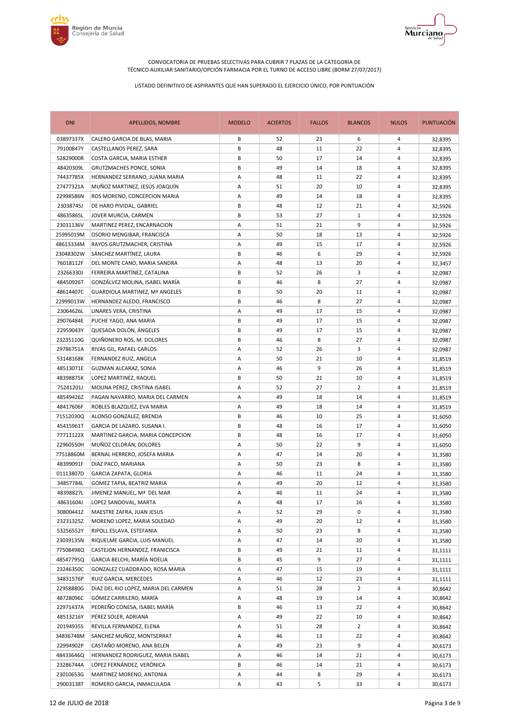



| <b>DNI</b> | APELLIDOS, NOMBRE                     | <b>MODELO</b> | <b>ACIERTOS</b> | <b>FALLOS</b> | <b>BLANCOS</b> | <b>NULOS</b>   | PUNTUACIÓN |
|------------|---------------------------------------|---------------|-----------------|---------------|----------------|----------------|------------|
| 03897337X  | CALERO GARCIA DE BLAS, MARIA          | В             | 52              | 23            | 6              | 4              | 32,8395    |
| 79100847Y  | CASTELLANOS PEREZ, SARA               | В             | 48              | 11            | 22             | 4              | 32,8395    |
| 52829000R  | COSTA GARCIA, MARIA ESTHER            | В             | 50              | 17            | 14             | 4              | 32,8395    |
| 48420309L  | <b>GRUTZMACHES PONCE, SONIA</b>       | B             | 49              | 14            | 18             | $\overline{4}$ | 32,8395    |
| 74437785X  | HERNANDEZ SERRANO, JUANA MARIA        | Α             | 48              | 11            | 22             | 4              | 32,8395    |
| 27477321A  | MUÑOZ MARTINEZ, JESÚS JOAQUÍN         | Α             | 51              | 20            | 10             | 4              | 32,8395    |
| 22998586N  | ROS MORENO, CONCEPCION MARIA          | Α             | 49              | 14            | 18             | 4              | 32,8395    |
| 23038745J  | DE HARO PIVIDAL, GABRIEL              | В             | 48              | 12            | 21             | 4              | 32,5926    |
| 48635865L  | JOVER MURCIA, CARMEN                  | В             | 53              | 27            | $\mathbf{1}$   | 4              | 32,5926    |
| 23031136V  | MARTINEZ PEREZ, ENCARNACION           | Α             | 51              | 21            | 9              | 4              | 32,5926    |
| 25995019M  | OSORIO MENGIBAR, FRANCISCA            | Α             | 50              | 18            | 13             | $\overline{4}$ | 32,5926    |
| 48613334M  | RAYOS GRUTZMACHER, CRISTINA           | Α             | 49              | 15            | 17             | 4              | 32,5926    |
| 23048302W  | SÁNCHEZ MARTÍNEZ, LAURA               | В             | 46              | 6             | 29             | 4              | 32,5926    |
| 76018112F  | DEL MONTE CANO, MARIA SANDRA          | Α             | 48              | 13            | 20             | 4              | 32,3457    |
| 23266330J  | FERREIRA MARTÍNEZ, CATALINA           | В             | 52              | 26            | 3              | 4              | 32,0987    |
| 48450926T  | GONZÁLVEZ MOLINA, ISABEL MARÍA        | B             | 46              | 8             | 27             | 4              | 32,0987    |
| 48614407C  | <b>GUARDIOLA MARTINEZ, Mª ANGELES</b> | В             | 50              | 20            | 11             | 4              | 32,0987    |
| 22999013W  | HERNANDEZ ALEDO, FRANCISCO            | B             | 46              | 8             | 27             | 4              | 32,0987    |
| 23064626L  | LINARES VERA, CRISTINA                | Α             | 49              | 17            | 15             | 4              | 32,0987    |
| 29076484E  | PUCHE YAGO, ANA MARIA                 | В             | 49              | 17            | 15             | 4              | 32,0987    |
| 22959043Y  | QUESADA DOLÓN, ÁNGELES                | В             | 49              | 17            | 15             | 4              | 32,0987    |
| 23235110G  | QUIÑONERO ROS, M. DOLORES             | B             | 46              | 8             | 27             | 4              | 32,0987    |
| 29786751A  | RIVAS GIL, RAFAEL CARLOS              | Α             | 52              | 26            | 3              | 4              | 32,0987    |
| 53148168K  | FERNANDEZ RUIZ, ANGELA                | Α             | 50              | 21            | 10             | 4              | 31,8519    |
| 48513071E  | GUZMAN ALCARAZ, SONIA                 | Α             | 46              | 9             | 26             | $\overline{4}$ | 31,8519    |
| 48398875K  | LOPEZ MARTINEZ, RAQUEL                | В             | 50              | 21            | 10             | 4              | 31,8519    |
| 75241201J  | MOLINA PÉREZ, CRISTINA ISABEL         | Α             | 52              | 27            | 2              | 4              | 31,8519    |
| 48549426Z  | PAGAN NAVARRO, MARIA DEL CARMEN       | Α             | 49              | 18            | 14             | 4              | 31,8519    |
| 48417606F  | ROBLES BLAZQUEZ, EVA MARIA            | Α             | 49              | 18            | 14             | 4              | 31,8519    |
| 71512030Q  | ALONSO GONZALEZ, BRENDA               | В             | 46              | 10            | 25             | 4              | 31,6050    |
| 45415961T  | GARCIA DE LAZARO, SUSANA I.           | B             | 48              | 16            | 17             | 4              | 31,6050    |
| 77711122X  | MARTINEZ GARCIA, MARIA CONCEPCION     | B             | 48              | 16            | 17             | 4              | 31,6050    |
| 22960550H  | MUÑOZ CELDRÁN, DOLORES                | Α             | 50              | 22            | 9              | $\overline{4}$ | 31,6050    |
| 77518860M  | BERNAL HERRERO, JOSEFA MARIA          | Α             | 47              | 14            | 20             | 4              | 31,3580    |
| 48399091F  | DIAZ PACO, MARIANA                    | Α             | 50              | 23            | 8              | 4              | 31,3580    |
| 01113807D  | GARCIA ZAPATA, GLORIA                 | Α             | 46              | 11            | 24             | 4              | 31,3580    |
| 34857784L  | GOMEZ TAPIA, BEATRIZ MARIA            | Α             | 49              | 20            | 12             | 4              | 31,3580    |
| 48398827L  | JIMENEZ MANUEL, Mª DEL MAR            | A             | 46              | 11            | 24             | 4              | 31,3580    |
| 48631604J  | LOPEZ SANDOVAL, MARTA                 | Α             | 48              | 17            | 16             | 4              | 31,3580    |
| 30800441Z  | MAESTRE ZAFRA, JUAN JESUS             | Α             | 52              | 29            | 0              | 4              | 31,3580    |
| 23231325Z  | MORENO LOPEZ, MARIA SOLEDAD           | А             | 49              | 20            | 12             | 4              | 31,3580    |
| 53256552Y  | RIPOLL ESLAVA, ESTEFANIA              | А             | 50              | 23            | 8              | 4              | 31,3580    |
| 23039135N  | RIQUELME GARCIA, LUIS MANUEL          | А             | 47              | 14            | 20             | 4              | 31,3580    |
| 77508498Q  | CASTEJON HERNANDEZ, FRANICISCA        | В             | 49              | 21            | 11             | 4              | 31,1111    |
| 48547795Q  | GARCIA BELCHI, MARÍA NOELIA           | В             | 45              | 9             | 27             | 4              | 31,1111    |
| 23246350C  | GONZALEZ CUADDRADO, ROSA MARIA        | Α             | 47              | 15            | 19             | 4              | 31,1111    |
| 34831576P  | RUIZ GARCIA, MERCEDES                 | Α             | 46              | 12            | 23             | 4              | 31,1111    |
| 22958880G  | DIAZ DEL RIO LOPEZ, MARIA DEL CARMEN  | Α             | 51              | 28            | $\overline{2}$ | 4              | 30,8642    |
| 48728096C  | GÓMEZ CARRILERO, MARÍA                | Α             | 48              | 19            | 14             | 4              | 30,8642    |
| 22971437A  | PEDREÑO CONESA, ISABEL MARÍA          | В             | 46              | 13            | 22             | 4              | 30,8642    |
| 48513216Y  | PÉREZ SOLER, ADRIANA                  | А             | 49              | 22            | 10             | 4              | 30,8642    |
| 20194935S  | REVILLA FERNANDEZ, ELENA              | А             | 51              | 28            | $\overline{2}$ | 4              | 30,8642    |
| 34836748M  | SANCHEZ MUÑOZ, MONTSERRAT             | Α             | 46              | 13            | 22             | 4              | 30,8642    |
| 22994902P  | CASTAÑO MORENO, ANA BELEN             | Α             | 49              | 23            | 9              | 4              | 30,6173    |
| 48433646Q  | HERNANDEZ RODRIGUEZ, MARIA ISABEL     | Α             | 46              | 14            | 21             | 4              | 30,6173    |
| 23286744A  | LÓPEZ FERNÁNDEZ, VERÓNICA             | В             | 46              | 14            | 21             | 4              | 30,6173    |
| 23010653G  | MARTINEZ MORENO, ANTONIA              | Α             | 44              | 8             | 29             | 4              | 30,6173    |
| 29003138T  | ROMERO GARCIA, INMACULADA             | Α             | 43              | 5             | 33             | 4              | 30,6173    |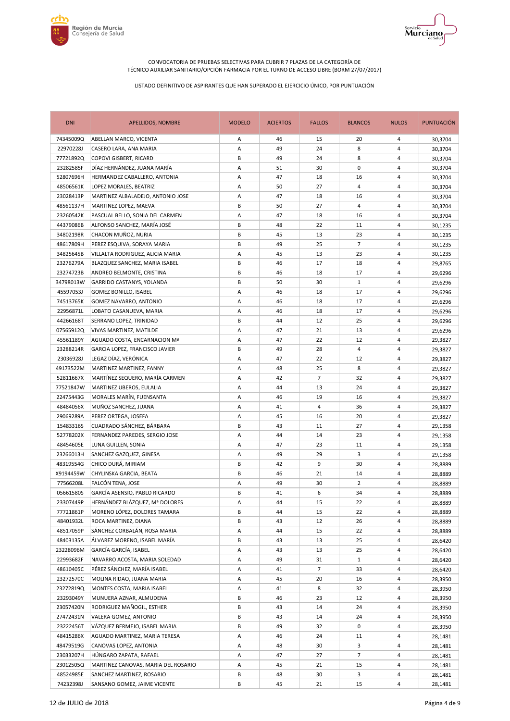



| <b>DNI</b> | APELLIDOS, NOMBRE                   | <b>MODELO</b> | <b>ACIERTOS</b> | <b>FALLOS</b>  | <b>BLANCOS</b> | <b>NULOS</b>   | <b>PUNTUACIÓN</b> |
|------------|-------------------------------------|---------------|-----------------|----------------|----------------|----------------|-------------------|
| 74345009Q  | ABELLAN MARCO, VICENTA              | Α             | 46              | 15             | 20             | 4              | 30,3704           |
| 22970228J  | CASERO LARA, ANA MARIA              | Α             | 49              | 24             | 8              | 4              | 30,3704           |
| 777218920  | COPOVI GISBERT, RICARD              | B             | 49              | 24             | 8              | 4              | 30,3704           |
| 23282585F  | DÍAZ HERNÁNDEZ, JUANA MARÍA         | Α             | 51              | 30             | 0              | 4              | 30,3704           |
| 52807696H  | HERMANDEZ CABALLERO, ANTONIA        | Α             | 47              | 18             | 16             | 4              | 30,3704           |
| 48506561K  | LOPEZ MORALES, BEATRIZ              | Α             | 50              | 27             | 4              | 4              | 30,3704           |
| 23028413P  | MARTINEZ ALBALADEJO, ANTONIO JOSE   | Α             | 47              | 18             | 16             | 4              | 30,3704           |
| 48561137H  | MARTINEZ LOPEZ, MAEVA               | B             | 50              | 27             | 4              | 4              | 30,3704           |
| 23260542K  | PASCUAL BELLO, SONIA DEL CARMEN     | Α             | 47              | 18             | 16             | 4              | 30,3704           |
| 44379086B  | ALFONSO SANCHEZ, MARÍA JOSÉ         | B             | 48              | 22             | 11             | $\overline{4}$ | 30,1235           |
| 34802198R  | CHACON MUÑOZ, NURIA                 | В             | 45              | 13             | 23             | $\overline{4}$ | 30,1235           |
| 48617809H  | PEREZ ESQUIVA, SORAYA MARIA         | В             | 49              | 25             | $\overline{7}$ | 4              | 30,1235           |
| 34825645B  | VILLALTA RODRIGUEZ, ALICIA MARIA    | Α             | 45              | 13             | 23             | 4              | 30,1235           |
| 23276279A  | BLAZQUEZ SANCHEZ, MARIA ISABEL      | В             | 46              | 17             | 18             | 4              | 29,8765           |
| 23274723B  | ANDREO BELMONTE, CRISTINA           | B             | 46              | 18             | 17             | 4              | 29,6296           |
| 34798013W  | GARRIDO CASTANYS, YOLANDA           | B             | 50              | 30             | $\mathbf{1}$   | 4              | 29,6296           |
| 45597053J  | GOMEZ BONILLO, ISABEL               | Α             | 46              | 18             | 17             | 4              | 29,6296           |
| 74513765K  | GOMEZ NAVARRO, ANTONIO              | Α             | 46              | 18             | 17             | $\overline{4}$ | 29,6296           |
| 22956871L  | LOBATO CASANUEVA, MARIA             | Α             | 46              | 18             | 17             | 4              | 29,6296           |
| 44266168T  | SERRANO LOPEZ, TRINIDAD             | В             | 44              | 12             | 25             | 4              | 29,6296           |
| 07565912Q  | VIVAS MARTINEZ, MATILDE             | Α             | 47              | 21             | 13             | 4              | 29,6296           |
| 45561189Y  | AGUADO COSTA, ENCARNACION Mª        | Α             | 47              | 22             | 12             | 4              | 29,3827           |
| 23288214R  | GARCIA LOPEZ, FRANCISCO JAVIER      | В             | 49              | 28             | 4              | 4              | 29,3827           |
| 23036928J  | LEGAZ DÍAZ, VERÓNICA                | Α             | 47              | 22             | 12             | $\overline{4}$ | 29,3827           |
| 49173522M  | MARTINEZ MARTINEZ, FANNY            | Α             | 48              | 25             | 8              | $\overline{4}$ | 29,3827           |
| 52811667X  | MARTÍNEZ SEQUERO, MARÍA CARMEN      | Α             | 42              | $\overline{7}$ | 32             | 4              | 29,3827           |
| 77521847W  | MARTINEZ UBEROS, EULALIA            | Α             | 44              | 13             | 24             | 4              | 29,3827           |
| 22475443G  | MORALES MARÍN, FUENSANTA            | Α             | 46              | 19             | 16             | 4              | 29,3827           |
| 48484056X  | MUÑOZ SANCHEZ, JUANA                | Α             | 41              | 4              | 36             | 4              | 29,3827           |
| 29069289A  | PEREZ ORTEGA, JOSEFA                | Α             | 45              | 16             | 20             | 4              | 29,3827           |
| 15483316S  | CUADRADO SÁNCHEZ, BÁRBARA           | B             | 43              | 11             | 27             | 4              | 29,1358           |
| 52778202X  | FERNANDEZ PAREDES, SERGIO JOSE      | Α             | 44              | 14             | 23             | $\overline{4}$ | 29,1358           |
| 48454605E  | LUNA GUILLEN, SONIA                 | Α             | 47              | 23             | 11             | 4              | 29,1358           |
| 23266013H  | SANCHEZ GAZQUEZ, GINESA             | Α             | 49              | 29             | 3              | 4              | 29,1358           |
| 48319554G  | CHICO DURÁ, MIRIAM                  | В             | 42              | 9              | 30             | 4              | 28,8889           |
| X9194459W  | CHYLINSKA GARCIA, BEATA             | В             | 46              | 21             | 14             | 4              | 28,8889           |
| 77566208L  | FALCÓN TENA, JOSE                   | Α             | 49              | 30             | $\overline{2}$ | 4              | 28,8889           |
| 05661580S  | GARCÍA ASENSIO, PABLO RICARDO       | B             | 41              | 6              | 34             | 4              | 28,8889           |
| 23307449P  | HERNÁNDEZ BLÁZQUEZ, Mª DOLORES      | А             | 44              | 15             | 22             | 4              | 28,8889           |
| 77721861P  | MORENO LÓPEZ, DOLORES TAMARA        | В             | 44              | 15             | 22             | 4              | 28,8889           |
| 48401932L  | ROCA MARTINEZ, DIANA                | В             | 43              | 12             | 26             | 4              | 28,8889           |
| 48517059P  | SÁNCHEZ CORBALÁN, ROSA MARIA        | А             | 44              | 15             | 22             | 4              | 28,8889           |
| 48403135A  | ÁLVAREZ MORENO, ISABEL MARÍA        | В             | 43              | 13             | 25             | 4              | 28,6420           |
| 23228096M  | GARCÍA GARCÍA, ISABEL               | А             | 43              | 13             | 25             | 4              | 28,6420           |
| 22993682F  | NAVARRO ACOSTA, MARIA SOLEDAD       | Α             | 49              | 31             | $\mathbf{1}$   | 4              | 28,6420           |
| 48610405C  | PÉREZ SÁNCHEZ, MARÍA ISABEL         | Α             | 41              | $\overline{7}$ | 33             | 4              | 28,6420           |
| 23272570C  | MOLINA RIDAO, JUANA MARIA           | Α             | 45              | 20             | 16             | 4              | 28,3950           |
| 23272819Q  | MONTES COSTA, MARIA ISABEL          | Α             | 41              | 8              | 32             | 4              | 28,3950           |
| 23293049Y  | MUNUERA AZNAR, ALMUDENA             | В             | 46              | 23             | 12             | 4              | 28,3950           |
| 23057420N  | RODRIGUEZ MAÑOGIL, ESTHER           | В             | 43              | 14             | 24             | 4              | 28,3950           |
| 27472431N  | VALERA GOMEZ, ANTONIO               | В             | 43              | 14             | 24             | 4              | 28,3950           |
| 23222456T  | VÁZQUEZ BERMEJO, ISABEL MARIA       | В             | 49              | 32             | 0              | 4              | 28,3950           |
| 48415286X  | AGUADO MARTINEZ, MARIA TERESA       | Α             | 46              | 24             | 11             | 4              | 28,1481           |
| 48479519G  | CANOVAS LOPEZ, ANTONIA              | Α             | 48              | 30             | 3              | 4              | 28,1481           |
| 23033207H  | HÚNGARO ZAPATA, RAFAEL              | Α             | 47              | 27             | 7              | 4              | 28,1481           |
| 23012505Q  | MARTINEZ CANOVAS, MARIA DEL ROSARIO | Α             | 45              | 21             | 15             | 4              | 28,1481           |
| 48524985E  | SANCHEZ MARTINEZ, ROSARIO           | В             | 48              | 30             | 3              | 4              | 28,1481           |
| 74232398J  | SANSANO GOMEZ, JAIME VICENTE        | В             | 45              | 21             | 15             | 4              | 28,1481           |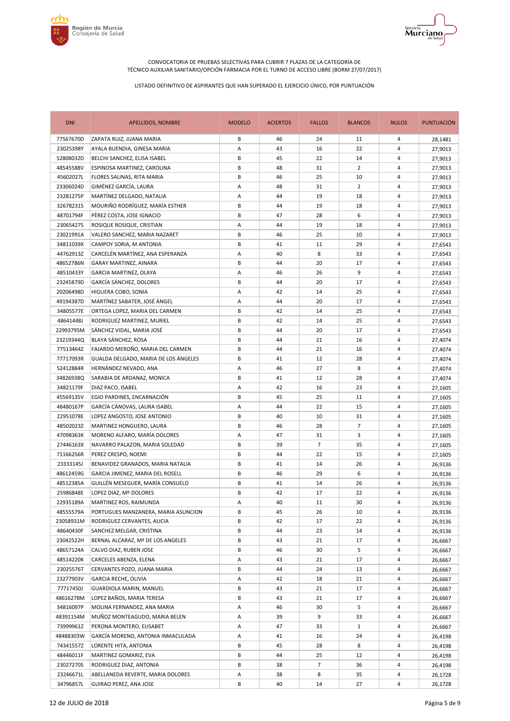



| <b>DNI</b> | APELLIDOS, NOMBRE                    | <b>MODELO</b> | <b>ACIERTOS</b> | <b>FALLOS</b>  | <b>BLANCOS</b> | <b>NULOS</b>   | PUNTUACIÓN |
|------------|--------------------------------------|---------------|-----------------|----------------|----------------|----------------|------------|
| 77567670D  | ZAPATA RUIZ, JUANA MARIA             | В             | 46              | 24             | 11             | 4              | 28,1481    |
| 23025398Y  | AYALA BUENDIA, GINESA MARIA          | Α             | 43              | 16             | 22             | 4              | 27,9013    |
| 52808032D  | BELCHI SANCHEZ, ELISA ISABEL         | В             | 45              | 22             | 14             | 4              | 27,9013    |
| 48545588V  | ESPINOSA MARTINEZ, CAROLINA          | В             | 48              | 31             | $\overline{2}$ | 4              | 27,9013    |
| 45602027L  | FLORES SALINAS, RITA MARIA           | В             | 46              | 25             | 10             | 4              | 27,9013    |
| 23306024D  | GIMÉNEZ GARCÍA, LAURA                | Α             | 48              | 31             | $\overline{2}$ | 4              | 27,9013    |
| 23281275P  | MARTÍNEZ DELGADO, NATALIA            | Α             | 44              | 19             | 18             | 4              | 27,9013    |
| 32678231S  | MOURIÑO RODRÍGUEZ, MARÍA ESTHER      | В             | 44              | 19             | 18             | 4              | 27,9013    |
| 48701794F  | PÈREZ COSTA, JOSE IGNACIO            | B             | 47              | 28             | 6              | 4              | 27,9013    |
| 23065427S  | ROSIQUE ROSIQUE, CRISTIAN            | Α             | 44              | 19             | 18             | 4              | 27,9013    |
| 23021991A  | VALERO SANCHEZ, MARIA NAZARET        | B             | 46              | 25             | 10             | $\overline{4}$ | 27,9013    |
| 34811039X  | CAMPOY SORIA, M ANTONIA              | В             | 41              | 11             | 29             | 4              | 27,6543    |
| 44762913Z  | CARCELÉN MARTÍNEZ, ANA ESPERANZA     | Α             | 40              | 8              | 33             | 4              | 27,6543    |
| 48652786N  | GARAY MARTINEZ, AINARA               | B             | 44              | 20             | 17             | 4              | 27,6543    |
| 48510433Y  | GARCIA MARTINEZ, OLAYA               | Α             | 46              | 26             | 9              | 4              | 27,6543    |
| 23245879D  | GARCÍA SÁNCHEZ, DOLORES              | В             | 44              | 20             | 17             | 4              | 27,6543    |
| 20206498D  | HIGUERA COBO, SONIA                  | Α             | 42              | 14             | 25             | 4              | 27,6543    |
| 49194387D  | MARTÍNEZ SABATER, JOSÉ ÁNGEL         | А             | 44              | 20             | 17             | $\overline{4}$ | 27,6543    |
| 34805577E  | ORTEGA LOPEZ, MARIA DEL CARMEN       | В             | 42              | 14             | 25             | 4              | 27,6543    |
| 48641448J  | RODRIGUEZ MARTINEZ, MURIEL           | В             | 42              | 14             | 25             | 4              | 27,6543    |
| 22993795M  | SÁNCHEZ VIDAL, MARIA JOSÉ            | B             | 44              | 20             | 17             | 4              | 27,6543    |
| 23219344Q  | BLAYA SÁNCHEZ, ROSA                  | В             | 44              | 21             | 16             | 4              | 27,4074    |
| 77513464Z  | FAJARDO MEROÑO, MARIA DEL CARMEN     | B             | 44              | 21             | 16             | 4              | 27,4074    |
| 77717093R  | GUALDA DELGADO, MARIA DE LOS ÁNGELES | В             | 41              | 12             | 28             | 4              | 27,4074    |
| 52412884R  | HERNÁNDEZ NEVADO, ANA                | Α             | 46              | 27             | 8              | $\overline{4}$ | 27,4074    |
| 34826938Q  | SARABIA DE ARDANAZ, MONICA           | В             | 41              | 12             | 28             | 4              | 27,4074    |
| 34821179F  | DIAZ PACO, ISABEL                    | Α             | 42              | 16             | 23             | 4              | 27,1605    |
| 45569135V  | EGIO PARDINES, ENCARNACIÓN           | В             | 45              | 25             | 11             | 4              | 27,1605    |
| 48480167P  | GARCÍA CÁNOVAS, LAURA ISABEL         | Α             | 44              | 22             | 15             | 4              | 27,1605    |
| 22951078E  | LOPEZ ANGOSTO, JOSE ANTONIO          | В             | 40              | 10             | 31             | 4              | 27,1605    |
| 48502023Z  | MARTINEZ HONGUERO, LAURA             | В             | 46              | 28             | $\overline{7}$ | 4              | 27,1605    |
| 47098363K  | MORENO ALFARO, MARÍA DOLORES         | Α             | 47              | 31             | 3              | $\overline{4}$ | 27,1605    |
| 27446163X  | NAVARRO PALAZON, MARIA SOLEDAD       | В             | 39              | $\overline{7}$ | 35             | 4              | 27,1605    |
| 71166256R  | PEREZ CRESPO, NOEMI                  | В             | 44              | 22             | 15             | 4              | 27,1605    |
| 23333145J  | BENAVIDEZ GRANADOS, MARIA NATALIA    | В             | 41              | 14             | 26             | 4              | 26,9136    |
| 48612459G  | GARCIA JIMENEZ, MARIA DEL ROSELL     | B             | 46              | 29             | 6              | 4              | 26,9136    |
| 48512385A  | GUILLÉN MESEGUER, MARÍA CONSUELO     | B             | 41              | 14             | 26             | 4              | 26,9136    |
| 25986848E  | LOPEZ DIAZ, Mº DOLORES               | B             | 42              | 17             | 22             | 4              | 26,9136    |
| 22935189A  | MARTINEZ ROS, RAIMUNDA               | А             | 40              | 11             | 30             | 4              | 26,9136    |
| 48555579A  | PORTUGUES MANZANERA, MARIA ASUNCION  | В             | 45              | 26             | 10             | 4              | 26,9136    |
| 23058931M  | RODRIGUEZ CERVANTES, ALICIA          | В             | 42              | 17             | 22             | 4              | 26,9136    |
| 48640430F  | SANCHEZ MELGAR, CRISTINA             | В             | 44              | 23             | 14             | 4              | 26,9136    |
| 23042522H  | BERNAL ALCARAZ, Mª DE LOS ANGELES    | В             | 43              | 21             | 17             | 4              | 26,6667    |
| 48657124A  | CALVO DIAZ, RUBEN JOSE               | В             | 46              | 30             | 5              | 4              | 26,6667    |
| 48514220K  | CARCELES ABENZA, ELENA               | Α             | 43              | 21             | 17             | 4              | 26,6667    |
| 23025576T  | CERVANTES POZO, JUANA MARIA          | В             | 44              | 24             | 13             | 4              | 26,6667    |
| 23277903V  | GARCIA RECHE, OLIVIA                 | Α             | 42              | 18             | 21             | 4              | 26,6667    |
| 77717450J  | GUARDIOLA MARIN, MANUEL              | В             | 43              | 21             | 17             | 4              | 26,6667    |
| 48616278M  | LOPEZ BAÑOS, MARIA TERESA            | В             | 43              | 21             | 17             | 4              | 26,6667    |
| 34816097P  | MOLINA FERNANDEZ, ANA MARIA          | А             | 46              | 30             | 5              | 4              | 26,6667    |
| 48391154M  | MUÑOZ MONTEAGUDO, MARIA BELEN        | Α             | 39              | 9              | 33             | 4              | 26,6667    |
| 73999961Z  | PERONA MONTERO, ELISABET             | Α             | 47              | 33             | $\mathbf{1}$   | 4              | 26,6667    |
| 48488303W  | GARCÍA MORENO, ANTONIA INMACULADA    | Α             | 41              | 16             | 24             | 4              | 26,4198    |
| 74341557Z  | LORENTE HITA, ANTONIA                | В             | 45              | 28             | 8              | 4              | 26,4198    |
| 48446011F  | MARTINEZ GOMARIZ, EVA                | В             | 44              | 25             | 12             | 4              | 26,4198    |
| 23027270S  | RODRIGUEZ DIAZ, ANTONIA              | В             | 38              | 7              | 36             | 4              | 26,4198    |
| 23246671L  | ABELLANEDA REVERTE, MARIA DOLORES    | А             | 38              | 8              | 35             | 4              | 26,1728    |
| 34796857L  | GUIRAO PEREZ, ANA JOSE               | В             | 40              | 14             | 27             | 4              | 26,1728    |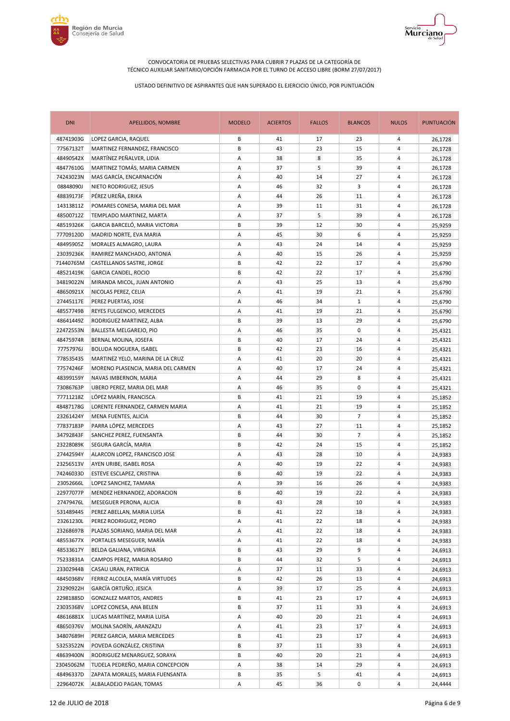



| <b>DNI</b> | <b>APELLIDOS, NOMBRE</b>           | <b>MODELO</b> | <b>ACIERTOS</b> | <b>FALLOS</b> | <b>BLANCOS</b> | <b>NULOS</b>   | <b>PUNTUACIÓN</b> |
|------------|------------------------------------|---------------|-----------------|---------------|----------------|----------------|-------------------|
| 48741903G  | LOPEZ GARCIA, RAQUEL               | B             | 41              | 17            | 23             | 4              | 26,1728           |
| 77567132T  | MARTINEZ FERNANDEZ, FRANCISCO      | В             | 43              | 23            | 15             | 4              | 26,1728           |
| 48490542X  | MARTÍNEZ PEÑALVER, LIDIA           | Α             | 38              | 8             | 35             | 4              | 26,1728           |
| 48477610G  | MARTINEZ TOMÁS, MARIA CARMEN       | A             | 37              | 5             | 39             | $\overline{4}$ | 26,1728           |
| 74243023N  | MAS GARCÍA, ENCARNACIÓN            | Α             | 40              | 14            | 27             | 4              | 26,1728           |
| 08848090J  | NIETO RODRIGUEZ, JESUS             | Α             | 46              | 32            | 3              | 4              | 26,1728           |
| 48839173F  | PÉREZ UREÑA, ERIKA                 | Α             | 44              | 26            | 11             | 4              | 26,1728           |
| 14313811Z  | POMARES CONESA, MARIA DEL MAR      | Α             | 39              | 11            | 31             | 4              | 26,1728           |
| 48500712Z  | TEMPLADO MARTINEZ, MARTA           | Α             | 37              | 5             | 39             | 4              | 26,1728           |
| 48519326K  | GARCIA BARCELÓ, MARIA VICTORIA     | В             | 39              | 12            | 30             | 4              | 25,9259           |
| 77709120D  | MADRID NORTE, EVA MARIA            | Α             | 45              | 30            | 6              | $\overline{4}$ | 25,9259           |
| 48495905Z  | MORALES ALMAGRO, LAURA             | Α             | 43              | 24            | 14             | 4              | 25,9259           |
| 23039236K  | RAMIREZ MANCHADO, ANTONIA          | Α             | 40              | 15            | 26             | 4              | 25,9259           |
| 71440765M  | CASTELLANOS SASTRE, JORGE          | В             | 42              | 22            | 17             | 4              | 25,6790           |
| 48521419K  | <b>GARCIA CANDEL, ROCIO</b>        | B             | 42              | 22            | 17             | 4              | 25,6790           |
| 34819022N  | MIRANDA MICOL, JUAN ANTONIO        | Α             | 43              | 25            | 13             | 4              | 25,6790           |
| 48650921X  | NICOLAS PEREZ, CELIA               | Α             | 41              | 19            | 21             | 4              | 25,6790           |
| 27445117E  | PEREZ PUERTAS, JOSE                | Α             | 46              | 34            | $\mathbf{1}$   | 4              | 25,6790           |
| 48557749B  | REYES FULGENCIO, MERCEDES          | Α             | 41              | 19            | 21             | 4              | 25,6790           |
| 48641449Z  | RODRIGUEZ MARTINEZ, ALBA           | В             | 39              | 13            | 29             | 4              | 25,6790           |
| 22472553N  | BALLESTA MELGAREJO, PIO            | Α             | 46              | 35            | 0              | 4              | 25,4321           |
| 48475974R  | BERNAL MOLINA, JOSEFA              | В             | 40              | 17            | 24             | 4              | 25,4321           |
| 77757976J  | BOLUDA NOGUERA, ISABEL             | В             | 42              | 23            | 16             | 4              | 25,4321           |
| 77853543S  | MARTINEZ YELO, MARINA DE LA CRUZ   | Α             | 41              | 20            | 20             | 4              | 25,4321           |
| 77574246F  | MORENO PLASENCIA, MARIA DEL CARMEN | Α             | 40              | 17            | 24             | 4              | 25,4321           |
| 48399159Y  | NAVAS IMBERNON, MARIA              | Α             | 44              | 29            | 8              | 4              | 25,4321           |
| 73086763P  | UBERO PEREZ, MARIA DEL MAR         | Α             | 46              | 35            | 0              | 4              | 25,4321           |
| 77711218Z  | LÓPEZ MARÍN, FRANCISCA             | В             | 41              | 21            | 19             | 4              | 25,1852           |
| 48487178G  | LORENTE FERNANDEZ, CARMEN MARIA    | Α             | 41              | 21            | 19             | 4              | 25,1852           |
| 23261424Y  | MENA FUENTES, ALICIA               | В             | 44              | 30            | $\overline{7}$ | 4              | 25,1852           |
| 77837183P  | PARRA LÓPEZ, MERCEDES              | Α             | 43              | 27            | 11             | 4              | 25,1852           |
| 34792843F  | SANCHEZ PEREZ, FUENSANTA           | В             | 44              | 30            | $\overline{7}$ | 4              | 25,1852           |
| 23228089K  | SEGURA GARCÍA, MARIA               | B             | 42              | 24            | 15             | $\overline{4}$ | 25,1852           |
| 27442594Y  | ALARCON LOPEZ, FRANCISCO JOSE      | Α             | 43              | 28            | 10             | 4              | 24,9383           |
| 23256513V  | AYEN URIBE, ISABEL ROSA            | Α             | 40              | 19            | 22             | 4              | 24,9383           |
| 74246033D  | ESTEVE ESCLAPEZ, CRISTINA          | В             | 40              | 19            | 22             | 4              | 24,9383           |
| 23052666L  | LOPEZ SANCHEZ, TAMARA              | Α             | 39              | 16            | 26             | 4              | 24,9383           |
| 22977077P  | MENDEZ HERNANDEZ, ADORACION        | B             | 40              | 19            | 22             | 4              | 24,9383           |
| 27479476L  | MESEGUER PERONA, ALICIA            | В             | 43              | 28            | 10             | 4              | 24,9383           |
| 53148944S  | PEREZ ABELLAN, MARIA LUISA         | B             | 41              | 22            | 18             | $\overline{4}$ | 24,9383           |
| 23261230L  | PEREZ RODRIGUEZ, PEDRO             | А             | 41              | 22            | 18             | 4              | 24,9383           |
| 23268697B  | PLAZAS SORIANO, MARIA DEL MAR      | А             | 41              | 22            | 18             | 4              | 24,9383           |
| 48553677X  | PORTALES MESEGUER, MARÍA           | А             | 41              | 22            | 18             | 4              | 24,9383           |
| 48533617Y  | BELDA GALIANA, VIRGINIA            | В             | 43              | 29            | 9              | 4              | 24,6913           |
| 75233831A  | CAMPOS PEREZ, MARIA ROSARIO        | В             | 44              | 32            | 5              | 4              | 24,6913           |
| 23302944B  | CASAU URAN, PATRICIA               | Α             | 37              | 11            | 33             | 4              | 24,6913           |
| 48450368V  | FERRIZ ALCOLEA, MARÍA VIRTUDES     | В             | 42              | 26            | 13             | 4              | 24,6913           |
| 23290922H  | GARCÍA ORTUÑO, JESICA              | Α             | 39              | 17            | 25             | 4              | 24,6913           |
| 22981885D  | GONZALEZ MARTOS, ANDRES            | В             | 41              | 23            | 17             | 4              | 24,6913           |
| 23035368V  | LOPEZ CONESA, ANA BELEN            | В             | 37              | 11            | 33             | 4              | 24,6913           |
| 48616881X  | LUCAS MARTÍNEZ, MARIA LUISA        | А             | 40              | 20            | 21             | 4              | 24,6913           |
| 48650376V  | MOLINA SAORÍN, ARANZAZU            | А             | 41              | 23            | 17             | 4              | 24,6913           |
| 34807689H  | PEREZ GARCIA, MARIA MERCEDES       | В             | 41              | 23            | 17             | 4              | 24,6913           |
| 53253522N  | POVEDA GONZÁLEZ, CRISTINA          | B             | 37              | 11            | 33             | 4              | 24,6913           |
| 48639400N  | RODRIGUEZ MENARGUEZ, SORAYA        | В             | 40              | 20            | 21             | 4              | 24,6913           |
| 23045062M  | TUDELA PEDREÑO, MARIA CONCEPCION   | А             | 38              | 14            | 29             | 4              | 24,6913           |
| 48496337D  | ZAPATA MORALES, MARIA FUENSANTA    | В             | 35              | 5             | 41             | 4              | 24,6913           |
| 22964072K  | ALBALADEJO PAGAN, TOMAS            | А             | 45              | 36            | 0              | 4              | 24,4444           |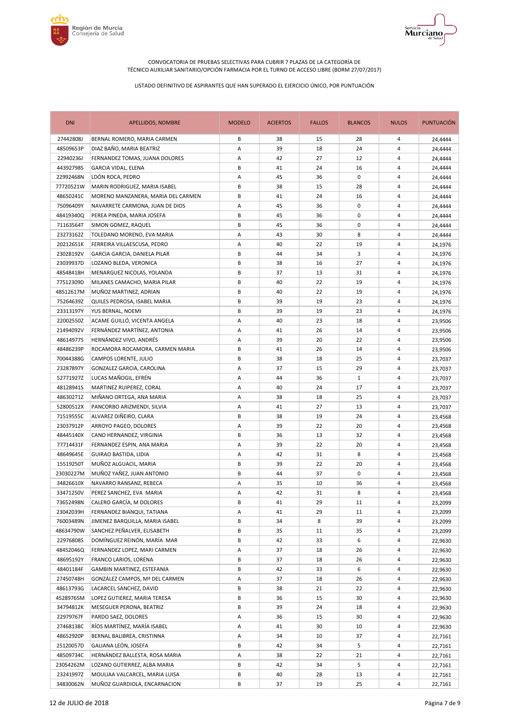



| <b>DNI</b> | <b>APELLIDOS, NOMBRE</b>           | <b>MODELO</b> | <b>ACIERTOS</b> | <b>FALLOS</b> | <b>BLANCOS</b> | <b>NULOS</b>   | PUNTUACIÓN |
|------------|------------------------------------|---------------|-----------------|---------------|----------------|----------------|------------|
| 27442808J  | BERNAL ROMERO, MARIA CARMEN        | B             | 38              | 15            | 28             | 4              | 24,4444    |
| 48509653P  | DIAZ BAÑO, MARIA BEATRIZ           | Α             | 39              | 18            | 24             | 4              | 24,4444    |
| 22940236J  | FERNANDEZ TOMAS, JUANA DOLORES     | Α             | 42              | 27            | 12             | 4              | 24,4444    |
| 44392798S  | GARCIA VIDAL, ELENA                | B             | 41              | 24            | 16             | $\overline{4}$ | 24,4444    |
| 22992468N  | LDÓN ROCA, PEDRO                   | Α             | 45              | 36            | 0              | 4              | 24,4444    |
| 77720521W  | MARIN RODRIGUEZ, MARIA ISABEL      | В             | 38              | 15            | 28             | 4              | 24,4444    |
| 48650241C  | MORENO MANZANERA, MARIA DEL CARMEN | B             | 41              | 24            | 16             | 4              | 24,4444    |
| 75096409Y  | NAVARRETE CARMONA, JUAN DE DIOS    | Α             | 45              | 36            | 0              | 4              | 24,4444    |
| 48419340Q  | PEREA PINEDA, MARIA JOSEFA         | В             | 45              | 36            | 0              | 4              | 24,4444    |
| 71163564T  | SIMON GOMEZ, RAQUEL                | В             | 45              | 36            | 0              | 4              | 24,4444    |
| 23273162Z  | TOLEDANO MORENO, EVA MARIA         | Α             | 43              | 30            | 8              | $\overline{4}$ | 24,4444    |
| 20212651K  | FERREIRA VILLAESCUSA, PEDRO        | Α             | 40              | 22            | 19             | 4              | 24,1976    |
| 23028192V  | GARCIA GARCIA, DANIELA PILAR       | В             | 44              | 34            | 3              | 4              | 24,1976    |
| 23039937D  | LOZANO BLEDA, VERONICA             | В             | 38              | 16            | 27             | 4              | 24,1976    |
| 48548418H  | MENARGUEZ NICOLAS, YOLANDA         | B             | 37              | 13            | 31             | 4              | 24,1976    |
| 77512309D  | MILANES CAMACHO, MARIA PILAR       | B             | 40              | 22            | 19             | 4              | 24,1976    |
| 48512617M  | MUÑOZ MARTINEZ, ADRIAN             | В             | 40              | 22            | 19             | 4              | 24,1976    |
| 75264639Z  | QUILES PEDROSA, ISABEL MARIA       | B             | 39              | 19            | 23             | 4              | 24,1976    |
| 23313197Y  | YUS BERNAL, NOEMI                  | В             | 39              | 19            | 23             | 4              | 24,1976    |
| 22002550Z  | ACAME GUILLÓ, VICENTA ANGELA       | Α             | 40              | 23            | 18             | 4              | 23,9506    |
| 21494092V  | FERNÁNDEZ MARTÍNEZ, ANTONIA        | Α             | 41              | 26            | 14             | 4              | 23,9506    |
| 48614977S  | HERNÁNDEZ VIVO, ANDRÉS             | Α             | 39              | 20            | 22             | 4              | 23,9506    |
| 48486239P  | ROCAMORA ROCAMORA, CARMEN MARIA    | В             | 41              | 26            | 14             | 4              | 23,9506    |
| 70044388G  | CAMPOS LORENTE, JULIO              | B             | 38              | 18            | 25             | 4              | 23,7037    |
| 23287897Y  | GONZALEZ GARCIA, CAROLINA          | Α             | 37              | 15            | 29             | $\overline{4}$ | 23,7037    |
| 52771927Z  | LUCAS MAÑOGIL, EFRÉN               | Α             | 44              | 36            | $\mathbf{1}$   | 4              | 23,7037    |
| 48128941S  | MARTINEZ RUIPEREZ, CORAL           | Α             | 40              | 24            | 17             | 4              | 23,7037    |
| 48630271Z  | MIÑANO ORTEGA, ANA MARIA           | Α             | 38              | 18            | 25             | 4              | 23,7037    |
| 52800512X  | PANCORBO ARIZMENDI, SILVIA         | Α             | 41              | 27            | 13             | 4              | 23,7037    |
| 71519555C  | ALVAREZ DIÑEIRO, CLARA             | В             | 38              | 19            | 24             | 4              | 23,4568    |
| 23037912P  | ARROYO PAGEO, DOLORES              | Α             | 39              | 22            | 20             | 4              | 23,4568    |
| 48445140X  | CANO HERNANDEZ, VIRGINIA           | В             | 36              | 13            | 32             | 4              | 23,4568    |
| 77714431F  | FERNANDEZ ESPIN, ANA MARIA         | Α             | 39              | 22            | 20             | $\overline{4}$ | 23,4568    |
| 48649645E  | GUIRAO BASTIDA, LIDIA              | Α             | 42              | 31            | 8              | 4              | 23,4568    |
| 15519250T  | MUÑOZ ALGUACIL, MARIA              | В             | 39              | 22            | 20             | 4              | 23,4568    |
| 23030227M  | MUÑOZ YAÑEZ, JUAN ANTONIO          | В             | 44              | 37            | 0              | 4              | 23,4568    |
| 34826610X  | NAVARRO RANSANZ, REBECA            | Α             | 35              | 10            | 36             | 4              | 23,4568    |
| 33471250V  | PEREZ SANCHEZ, EVA MARIA           | A             | 42              | 31            | 8              | 4              | 23,4568    |
| 73652498N  | CALERO GARCÍA, M DOLORES           | В             | 41              | 29            | 11             | 4              | 23,2099    |
| 23042039H  | FERNANDEZ BIANQUI, TATIANA         | Α             | 41              | 29            | 11             | $\overline{4}$ | 23,2099    |
| 76003489N  | JIMENEZ BARQUILLA, MARIA ISABEL    | В             | 34              | 8             | 39             | 4              | 23,2099    |
| 48634790W  | SANCHEZ PEÑALVER, ELISABETH        | В             | 35              | 11            | 35             | 4              | 23,2099    |
| 22976808S  | DOMÍNGUEZ REINÓN, MARÍA MAR        | В             | 42              | 33            | 6              | 4              | 22,9630    |
| 48452046Q  | FERNANDEZ LOPEZ, MARI CARMEN       | Α             | 37              | 18            | 26             | 4              | 22,9630    |
| 48695192Y  | FRANCO LARIOS, LORENA              | В             | 37              | 18            | 26             | 4              | 22,9630    |
| 48401184F  | GAMBIN MARTINEZ, ESTEFANIA         | В             | 42              | 33            | 6              | 4              | 22,9630    |
| 27450748H  | GONZÁLEZ CAMPOS, Mª DEL CARMEN     | Α             | 37              | 18            | 26             | 4              | 22,9630    |
| 48613793G  | LACARCEL SANCHEZ, DAVID            | В             | 38              | 21            | 22             | 4              | 22,9630    |
| 45289765M  | LOPEZ GUTIEREZ, MARIA TERESA       | В             | 36              | 15            | 30             | 4              | 22,9630    |
| 34794812K  | MESEGUER PERONA, BEATRIZ           | В             | 39              | 24            | 18             | 4              | 22,9630    |
| 22979767F  | PARDO SAEZ, DOLORES                | А             | 36              | 15            | 30             | 4              | 22,9630    |
| 27468138C  | RÍOS MARTÍNEZ, MARÍA ISABEL        | А             | 41              | 30            | 10             | 4              | 22,9630    |
| 48652920P  | BERNAL BALIBREA, CRISTINNA         | Α             | 34              | 10            | 37             | 4              | 22,7161    |
| 25120057D  | GALIANA LEÓN, JOSEFA               | В             | 42              | 34            | 5              | 4              | 22,7161    |
| 48509734C  | HERNÁNDEZ BALLESTA, ROSA MARIA     | Α             | 38              | 22            | 21             | 4              | 22,7161    |
| 23054262M  | LOZANO GUTIERREZ, ALBA MARIA       | В             | 42              | 34            | 5              | 4              | 22,7161    |
| 23241997Z  | MOULIAA VALCARCEL, MARIA LUISA     | В             | 40              | 28            | 13             | 4              | 22,7161    |
| 34830062N  | MUÑOZ GUARDIOLA, ENCARNACION       | В             | 37              | 19            | 25             | 4              | 22,7161    |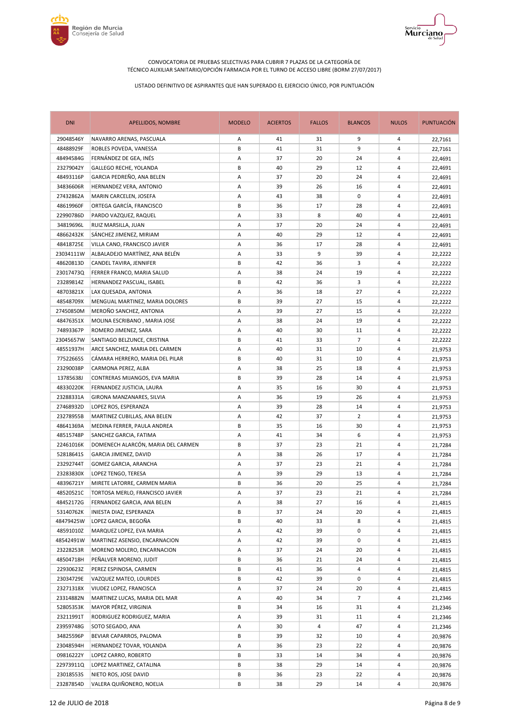



| <b>DNI</b> | APELLIDOS, NOMBRE                  | <b>MODELO</b> | <b>ACIERTOS</b> | <b>FALLOS</b> | <b>BLANCOS</b> | <b>NULOS</b>   | <b>PUNTUACIÓN</b> |
|------------|------------------------------------|---------------|-----------------|---------------|----------------|----------------|-------------------|
| 29048546Y  | NAVARRO ARENAS, PASCUALA           | Α             | 41              | 31            | 9              | 4              | 22,7161           |
| 48488929F  | ROBLES POVEDA, VANESSA             | В             | 41              | 31            | 9              | 4              | 22,7161           |
| 48494584G  | FERNÁNDEZ DE GEA, INÉS             | Α             | 37              | 20            | 24             | 4              | 22,4691           |
| 23279042Y  | GALLEGO RECHE, YOLANDA             | B             | 40              | 29            | 12             | 4              | 22,4691           |
| 48493116P  | GARCIA PEDREÑO, ANA BELEN          | Α             | 37              | 20            | 24             | 4              | 22,4691           |
| 34836606R  | HERNANDEZ VERA, ANTONIO            | Α             | 39              | 26            | 16             | 4              | 22,4691           |
| 27432862A  | MARIN CARCELEN, JOSEFA             | Α             | 43              | 38            | 0              | 4              | 22,4691           |
| 48619960F  | ORTEGA GARCÍA, FRANCISCO           | B             | 36              | 17            | 28             | 4              | 22,4691           |
| 22990786D  | PARDO VAZQUEZ, RAQUEL              | Α             | 33              | 8             | 40             | 4              | 22,4691           |
| 34819696L  | RUIZ MARSILLA, JUAN                | Α             | 37              | 20            | 24             | 4              | 22,4691           |
| 48662432K  | SANCHEZ JIMENEZ, MIRIAM            | Α             | 40              | 29            | 12             | 4              | 22,4691           |
| 48418725E  | VILLA CANO, FRANCISCO JAVIER       | Α             | 36              | 17            | 28             | 4              | 22,4691           |
| 23034111W  | ALBALADEJO MARTÍNEZ, ANA BELÉN     | Α             | 33              | 9             | 39             | 4              | 22,2222           |
| 48620813D  | CANDEL TAVIRA, JENNIFER            | В             | 42              | 36            | 3              | 4              | 22,2222           |
| 23017473Q  | FERRER FRANCO, MARIA SALUD         | Α             | 38              | 24            | 19             | 4              | 22,2222           |
| 23289814Z  | HERNANDEZ PASCUAL, ISABEL          | В             | 42              | 36            | 3              | 4              | 22,2222           |
| 48703821X  | LAX QUESADA, ANTONIA               | Α             | 36              | 18            | 27             | 4              | 22,2222           |
| 48548709X  | MENGUAL MARTINEZ, MARIA DOLORES    | В             | 39              | 27            | 15             | 4              | 22,2222           |
| 27450850M  | MEROÑO SANCHEZ, ANTONIA            | Α             | 39              | 27            | 15             | 4              | 22,2222           |
| 48476351X  | MOLINA ESCRIBANO, MARIA JOSE       | Α             | 38              | 24            | 19             | 4              | 22,2222           |
| 74893367P  | ROMERO JIMENEZ, SARA               | Α             | 40              | 30            | 11             | 4              | 22,2222           |
| 23045657W  | SANTIAGO BELZUNCE, CRISTINA        | В             | 41              | 33            | $\overline{7}$ | 4              | 22,2222           |
| 48551937H  | ARCE SANCHEZ, MARIA DEL CARMEN     | Α             | 40              | 31            | 10             | 4              | 21,9753           |
| 77522665S  | CÁMARA HERRERO, MARIA DEL PILAR    | В             | 40              | 31            | 10             | 4              | 21,9753           |
| 23290038P  | CARMONA PEREZ, ALBA                | Α             | 38              | 25            | 18             | 4              | 21,9753           |
| 13785638J  | CONTRERAS MIJANGOS, EVA MARIA      | B             | 39              | 28            | 14             | $\overline{4}$ | 21,9753           |
| 48330220K  | FERNANDEZ JUSTICIA, LAURA          | Α             | 35              | 16            | 30             | 4              | 21,9753           |
| 23288331A  | GIRONA MANZANARES, SILVIA          | Α             | 36              | 19            | 26             | 4              | 21,9753           |
| 27468932D  | LOPEZ ROS, ESPERANZA               | Α             | 39              | 28            | 14             | 4              | 21,9753           |
| 23278955B  | MARTINEZ CUBILLAS, ANA BELEN       | Α             | 42              | 37            | 2              | 4              | 21,9753           |
| 48641369A  | MEDINA FERRER, PAULA ANDREA        | В             | 35              | 16            | 30             | 4              | 21,9753           |
| 48515748P  | SANCHEZ GARCIA, FATIMA             | Α             | 41              | 34            | 6              | 4              | 21,9753           |
| 22461016K  | DOMENECH ALARCÓN, MARIA DEL CARMEN | B             | 37              | 23            | 21             | $\overline{4}$ | 21,7284           |
| 52818641S  | GARCIA JIMENEZ, DAVID              | Α             | 38              | 26            | 17             | 4              | 21,7284           |
| 23292744T  | GOMEZ GARCIA, ARANCHA              | Α             | 37              | 23            | 21             | 4              | 21,7284           |
| 23283830X  | LOPEZ TENGO, TERESA                | Α             | 39              | 29            | 13             | 4              | 21,7284           |
| 48396721Y  | MIRETE LATORRE, CARMEN MARIA       | В             | 36              | 20            | 25             | 4              | 21,7284           |
| 48520521C  | TORTOSA MERLO, FRANCISCO JAVIER    | A             | 37              | 23            | 21             | $\overline{4}$ | 21,7284           |
| 48452172G  | FERNANDEZ GARCIA, ANA BELEN        | А             | 38              | 27            | 16             | 4              | 21,4815           |
| 53140762K  | INIESTA DIAZ, ESPERANZA            | В             | 37              | 24            | 20             | 4              | 21,4815           |
| 48479425W  | LOPEZ GARCIA, BEGOÑA               | В             | 40              | 33            | 8              | 4              | 21,4815           |
| 48591010Z  | MARQUEZ LOPEZ, EVA MARIA           | А             | 42              | 39            | 0              | 4              | 21,4815           |
| 48542491W  | MARTINEZ ASENSIO, ENCARNACION      | Α             | 42              | 39            | 0              | 4              | 21,4815           |
| 23228253R  | MORENO MOLERO, ENCARNACION         | Α             | 37              | 24            | 20             | 4              | 21,4815           |
| 48504718H  | PEÑALVER MORENO, JUDIT             | В             | 36              | 21            | 24             | 4              | 21,4815           |
| 22930623Z  | PEREZ ESPINOSA, CARMEN             | В             | 41              | 36            | 4              | 4              | 21,4815           |
| 23034729E  | VAZQUEZ MATEO, LOURDES             | В             | 42              | 39            | 0              | 4              | 21,4815           |
| 23271318X  | VIUDEZ LOPEZ, FRANCISCA            | Α             | 37              | 24            | 20             | 4              | 21,4815           |
| 23314882N  | MARTINEZ LUCAS, MARIA DEL MAR      | Α             | 40              | 34            | 7              | 4              | 21,2346           |
| 52805353K  | MAYOR PÉREZ, VIRGINIA              | В             | 34              | 16            | 31             | 4              | 21,2346           |
| 23211991T  | RODRIGUEZ RODRIGUEZ, MARIA         | А             | 39              | 31            | 11             | 4              | 21,2346           |
| 23959748G  | SOTO SEGADO, ANA                   | Α             | 30              | 4             | 47             | 4              | 21,2346           |
| 34825596P  | BEVIAR CAPARROS, PALOMA            | В             | 39              | 32            | 10             | 4              | 20,9876           |
| 23048594H  | HERNANDEZ TOVAR, YOLANDA           | Α             | 36              | 23            | 22             | 4              | 20,9876           |
| 09816222Y  | LOPEZ CARRO, ROBERTO               | В             | 33              | 14            | 34             | 4              | 20,9876           |
| 22973911Q  | LOPEZ MARTINEZ, CATALINA           | В             | 38              | 29            | 14             | 4              | 20,9876           |
| 23018553S  | NIETO ROS, JOSE DAVID              | В             | 36              | 23            | 22             | 4              | 20,9876           |
| 23287854D  | VALERA QUIÑONERO, NOELIA           | В             | 38              | 29            | 14             | 4              | 20,9876           |